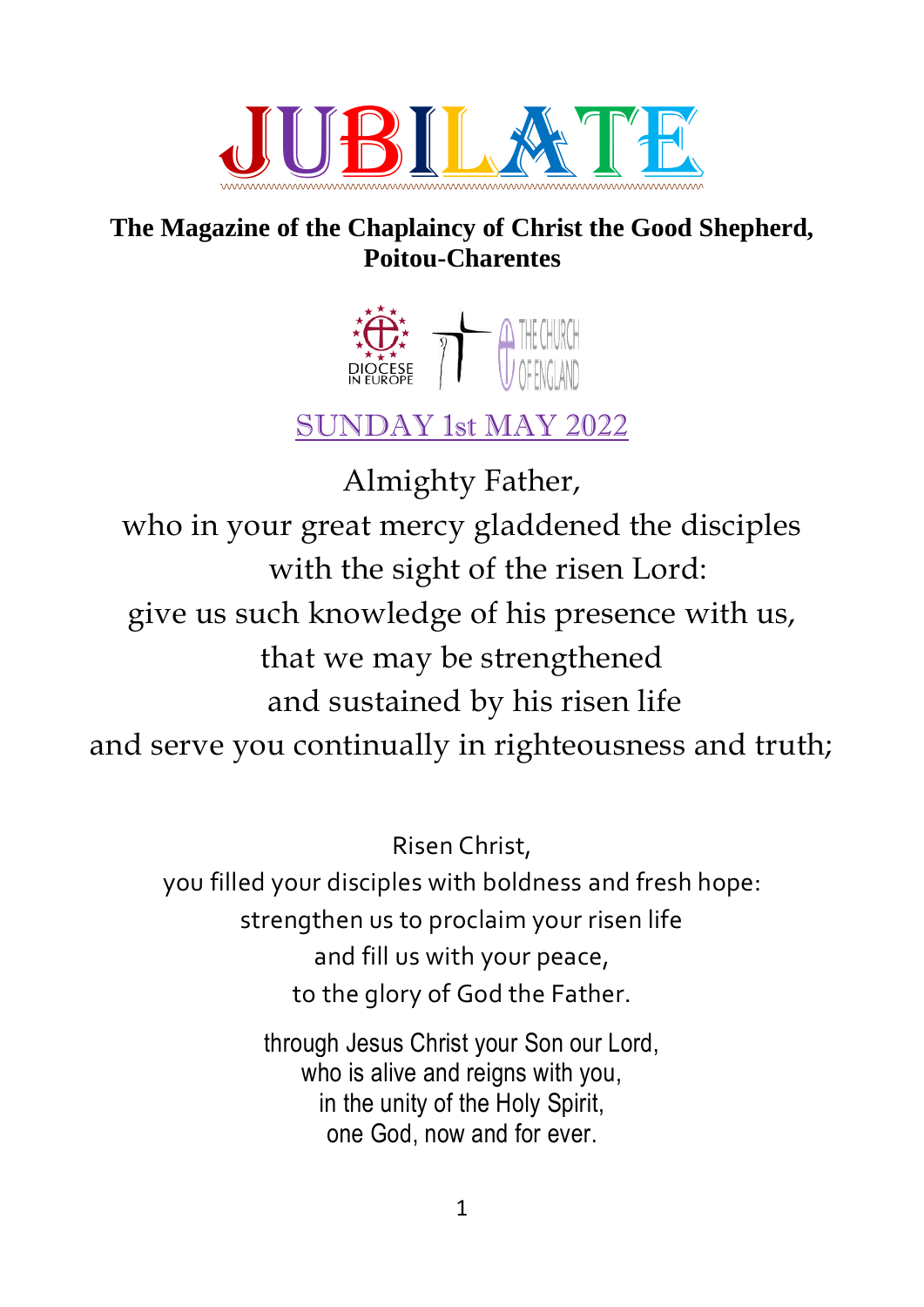

## **The Magazine of the Chaplaincy of Christ the Good Shepherd, Poitou-Charentes**



# SUNDAY 1st MAY 2022

Almighty Father, who in your great mercy gladdened the disciples with the sight of the risen Lord: give us such knowledge of his presence with us, that we may be strengthened and sustained by his risen life and serve you continually in righteousness and truth;

Risen Christ,

you filled your disciples with boldness and fresh hope: strengthen us to proclaim your risen life and fill us with your peace, to the glory of God the Father.

> through Jesus Christ your Son our Lord, who is alive and reigns with you, in the unity of the Holy Spirit, one God, now and for ever.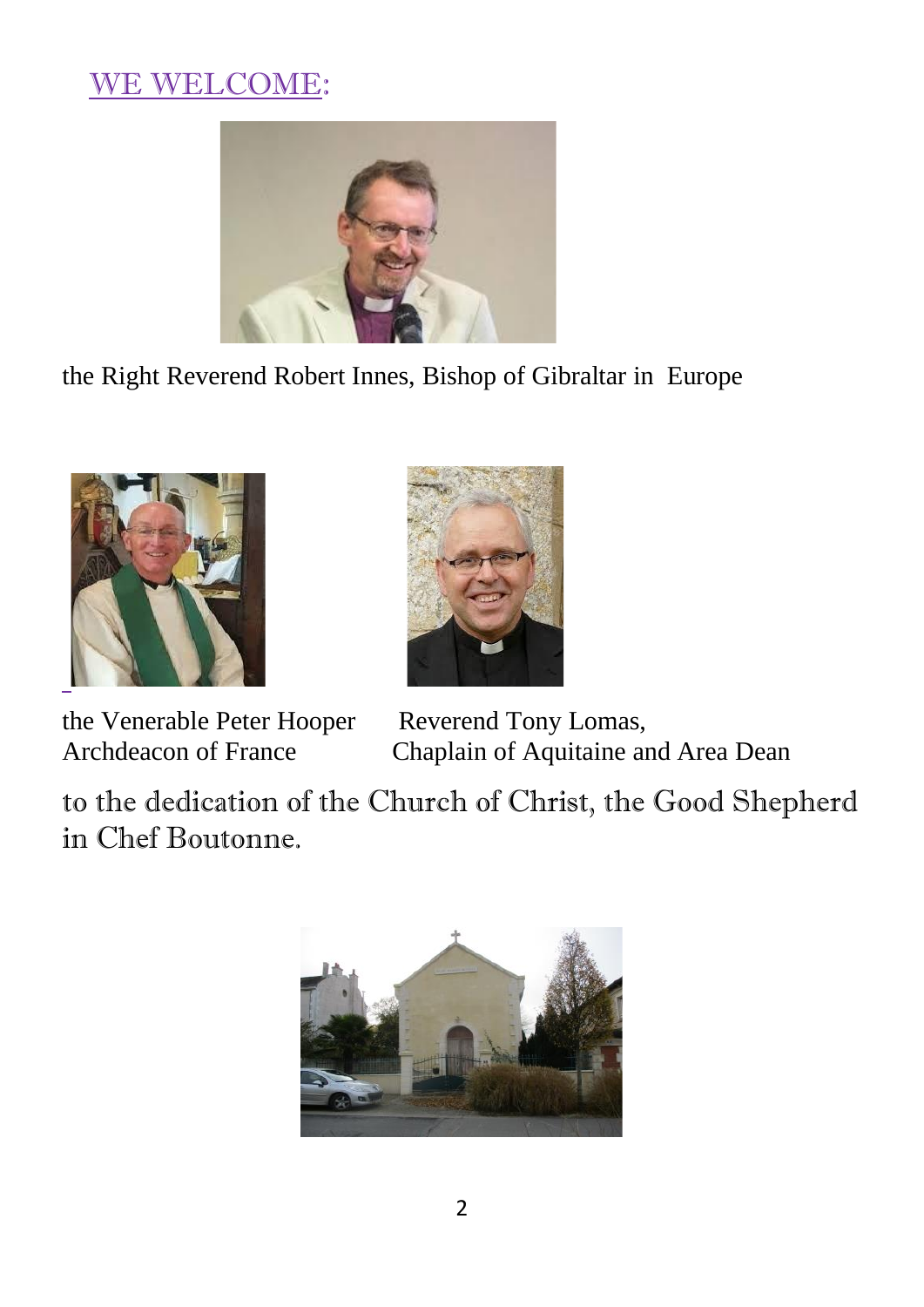# WE WELCOME:



the Right Reverend Robert Innes, Bishop of Gibraltar in Europe



the Venerable Peter Hooper Reverend Tony Lomas,



Archdeacon of France Chaplain of Aquitaine and Area Dean

to the dedication of the Church of Christ, the Good Shepherd in Chef Boutonne.

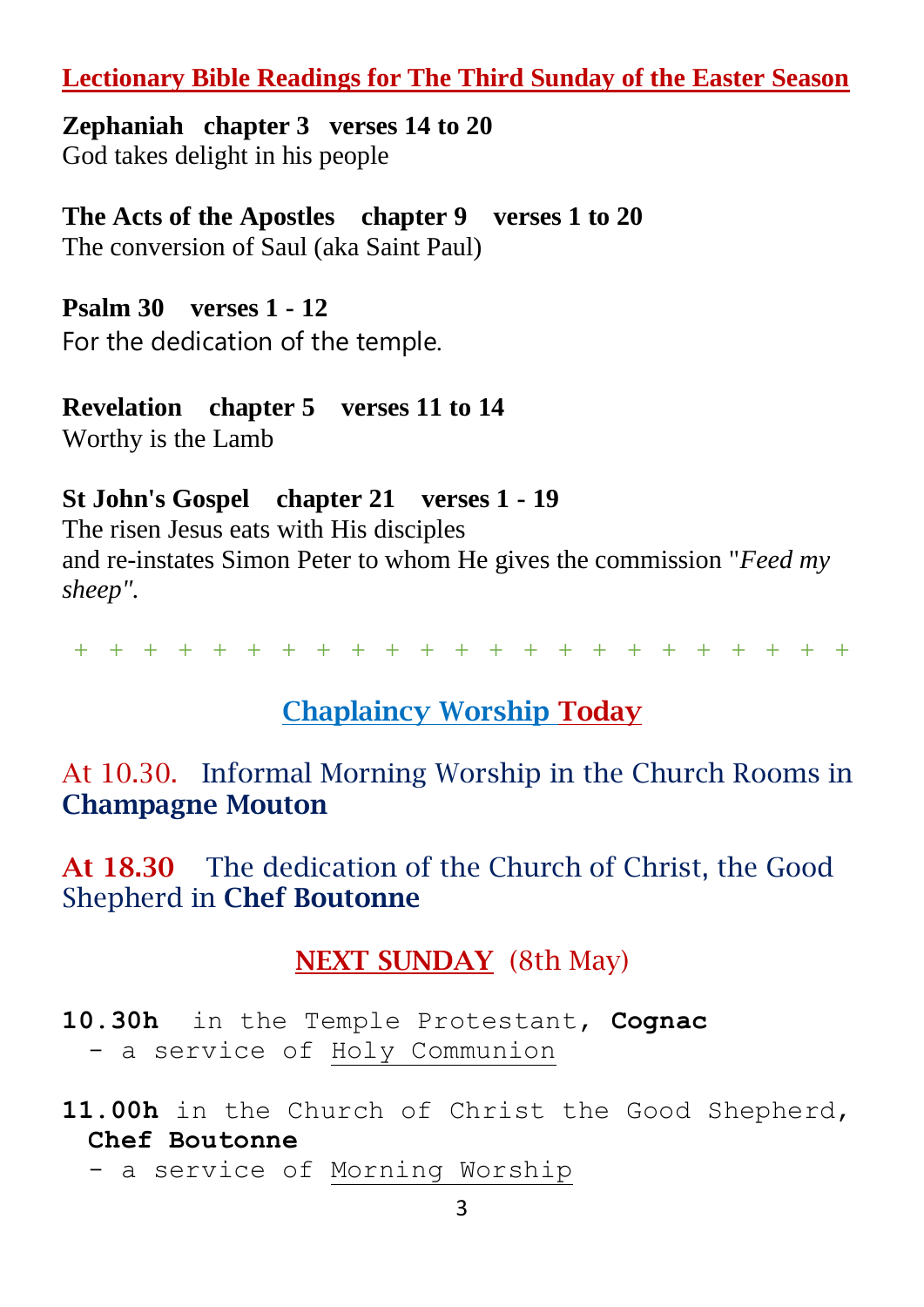## **Lectionary Bible Readings for The Third Sunday of the Easter Season**

**Zephaniah chapter 3 verses 14 to 20** God takes delight in his people

**The Acts of the Apostles chapter 9 verses 1 to 20** The conversion of Saul (aka Saint Paul)

**Psalm 30 verses 1 - 12**  For the dedication of the temple.

**Revelation chapter 5 verses 11 to 14** Worthy is the Lamb

## **St John's Gospel chapter 21 verses 1 - 19**

The risen Jesus eats with His disciples and re-instates Simon Peter to whom He gives the commission "*Feed my sheep".*

+ + + + + + + + + + + + + + + + + + + + + + +

## Chaplaincy Worship Today

At 10.30. Informal Morning Worship in the Church Rooms in Champagne Mouton

At 18.30 The dedication of the Church of Christ, the Good Shepherd in Chef Boutonne

## NEXT SUNDAY (8th May)

**10.30h** in the Temple Protestant, **Cognac** - a service of Holy Communion

**11.00h** in the Church of Christ the Good Shepherd, **Chef Boutonne**

- a service of Morning Worship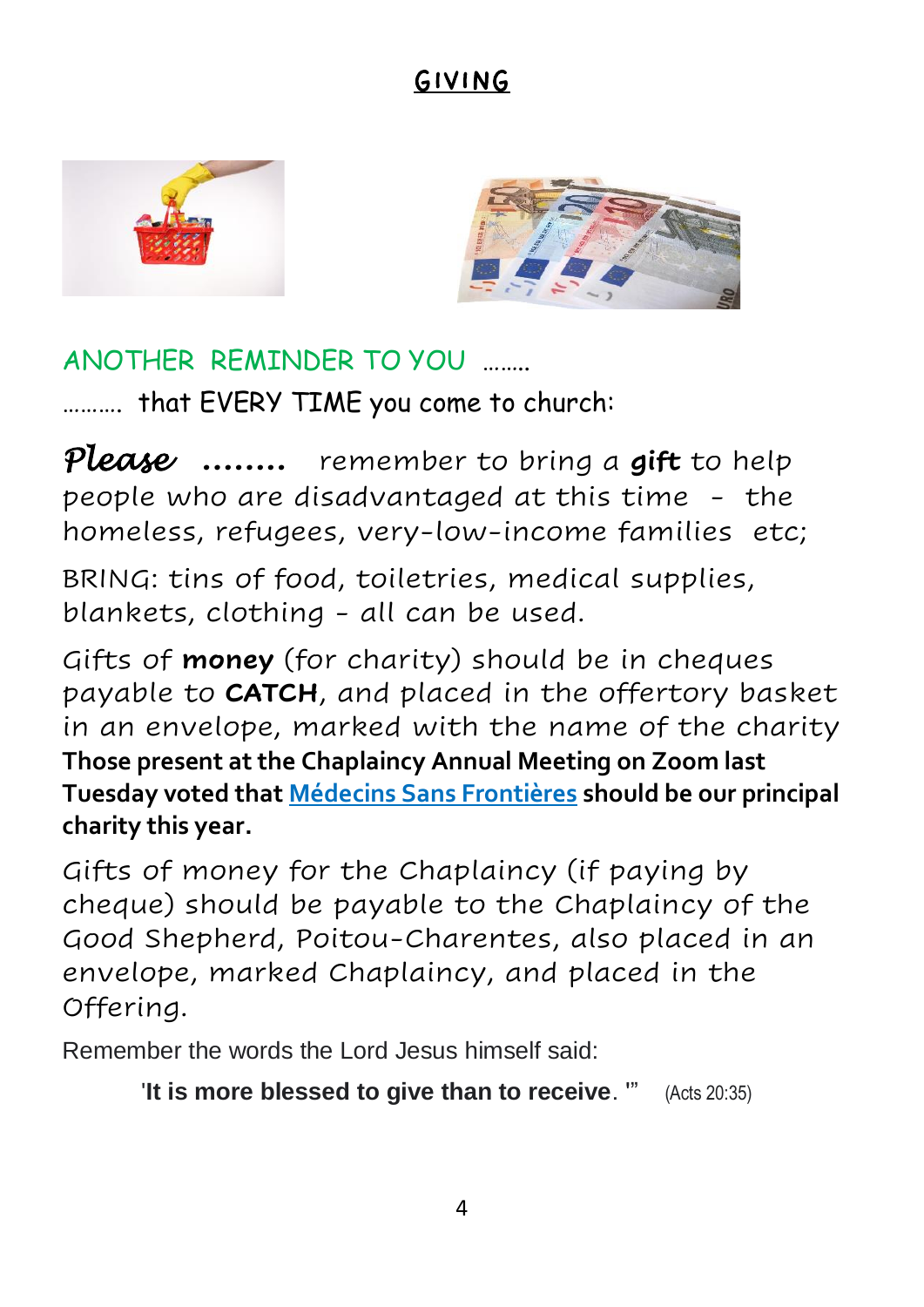# GIVING





## ANOTHER REMINDER TO YOU ……..

………. that EVERY TIME you com[e to](https://creativecommons.org/licenses/by/3.0/) church:

*Please* **……..** remember to bring a **gift** to help people who are disadvantaged at this time - the homeless, refugees, very-low-income families etc;

BRING: tins of food, toiletries, medical supplies, blankets, clothing - all can be used.

Gifts of **money** (for charity) should be in cheques payable to **CATCH**, and placed in the offertory basket in an envelope, marked with the name of the charity **Those present at the Chaplaincy Annual Meeting on Zoom last Tuesday voted that Médecins Sans Frontières should be our principal charity this year.**

Gifts of money for the Chaplaincy (if paying by cheque) should be payable to the Chaplaincy of the Good Shepherd, Poitou-Charentes, also placed in an envelope, marked Chaplaincy, and placed in the Offering.

Remember the words the Lord Jesus himself said:

'**It is more blessed to give than to receive**. '" (Acts 20:35)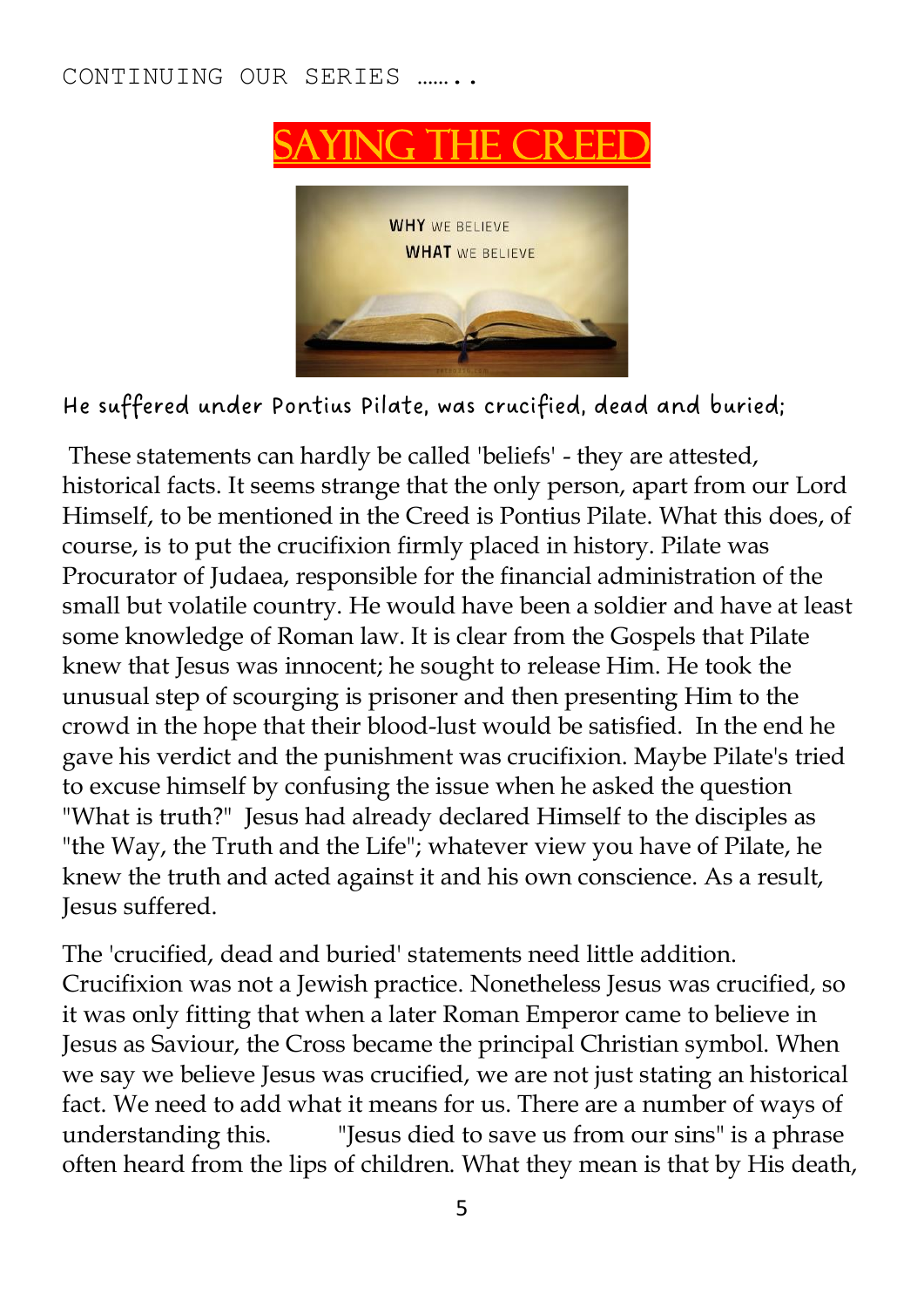#### CONTINUING OUR SERIES ……..



He suffered under Pontius Pilate, was crucified, dead and buried;

These statements can hardly be called 'beliefs' - they are attested, historical facts. It seems strange that the only person, apart from our Lord Himself, to be mentioned in the Creed is Pontius Pilate. What this does, of course, is to put the crucifixion firmly placed in history. Pilate was Procurator of Judaea, responsible for the financial administration of the small but volatile country. He would have been a soldier and have at least some knowledge of Roman law. It is clear from the Gospels that Pilate knew that Jesus was innocent; he sought to release Him. He took the unusual step of scourging is prisoner and then presenting Him to the crowd in the hope that their blood-lust would be satisfied. In the end he gave his verdict and the punishment was crucifixion. Maybe Pilate's tried to excuse himself by confusing the issue when he asked the question "What is truth?" Jesus had already declared Himself to the disciples as "the Way, the Truth and the Life"; whatever view you have of Pilate, he knew the truth and acted against it and his own conscience. As a result, Jesus suffered.

The 'crucified, dead and buried' statements need little addition. Crucifixion was not a Jewish practice. Nonetheless Jesus was crucified, so it was only fitting that when a later Roman Emperor came to believe in Jesus as Saviour, the Cross became the principal Christian symbol. When we say we believe Jesus was crucified, we are not just stating an historical fact. We need to add what it means for us. There are a number of ways of understanding this. "Jesus died to save us from our sins" is a phrase often heard from the lips of children. What they mean is that by His death,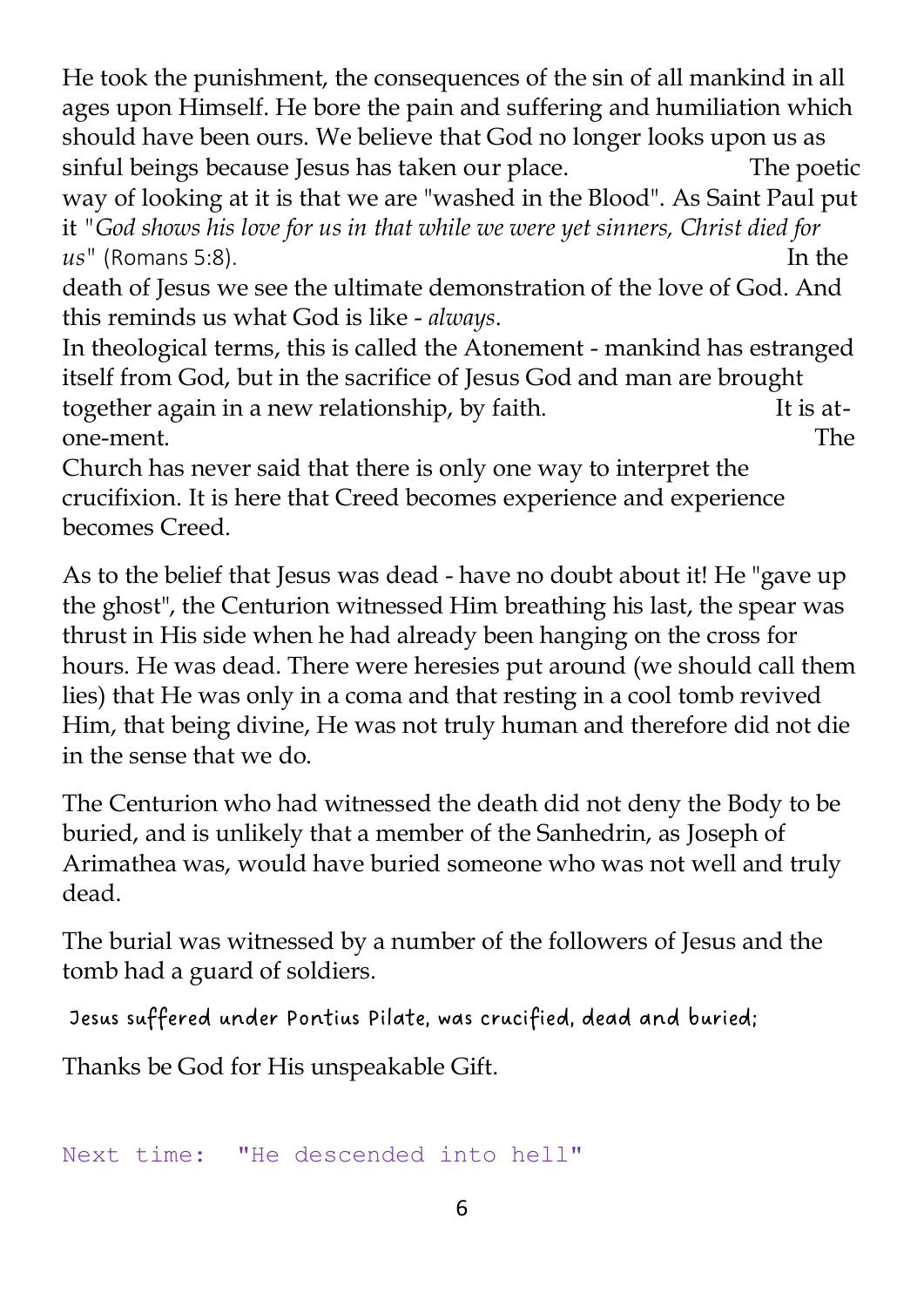He took the punishment, the consequences of the sin of all mankind in all ages upon Himself. He bore the pain and suffering and humiliation which should have been ours. We believe that God no longer looks upon us as sinful beings because Jesus has taken our place. The poetic way of looking at it is that we are "washed in the Blood". As Saint Paul put

it *"God shows his love for us in that while we were yet sinners, Christ died for us"* (Romans 5:8). In the

death of Jesus we see the ultimate demonstration of the love of God. And this reminds us what God is like - *always*.

In theological terms, this is called the Atonement - mankind has estranged itself from God, but in the sacrifice of Jesus God and man are brought together again in a new relationship, by faith. It is atone-ment. The

Church has never said that there is only one way to interpret the crucifixion. It is here that Creed becomes experience and experience becomes Creed.

As to the belief that Jesus was dead - have no doubt about it! He "gave up the ghost", the Centurion witnessed Him breathing his last, the spear was thrust in His side when he had already been hanging on the cross for hours. He was dead. There were heresies put around (we should call them lies) that He was only in a coma and that resting in a cool tomb revived Him, that being divine, He was not truly human and therefore did not die in the sense that we do.

The Centurion who had witnessed the death did not deny the Body to be buried, and is unlikely that a member of the Sanhedrin, as Joseph of Arimathea was, would have buried someone who was not well and truly dead.

The burial was witnessed by a number of the followers of Jesus and the tomb had a guard of soldiers.

Jesus suffered under Pontius Pilate, was crucified, dead and buried;

Thanks be God for His unspeakable Gift.

```
Next time: "He descended into hell"
```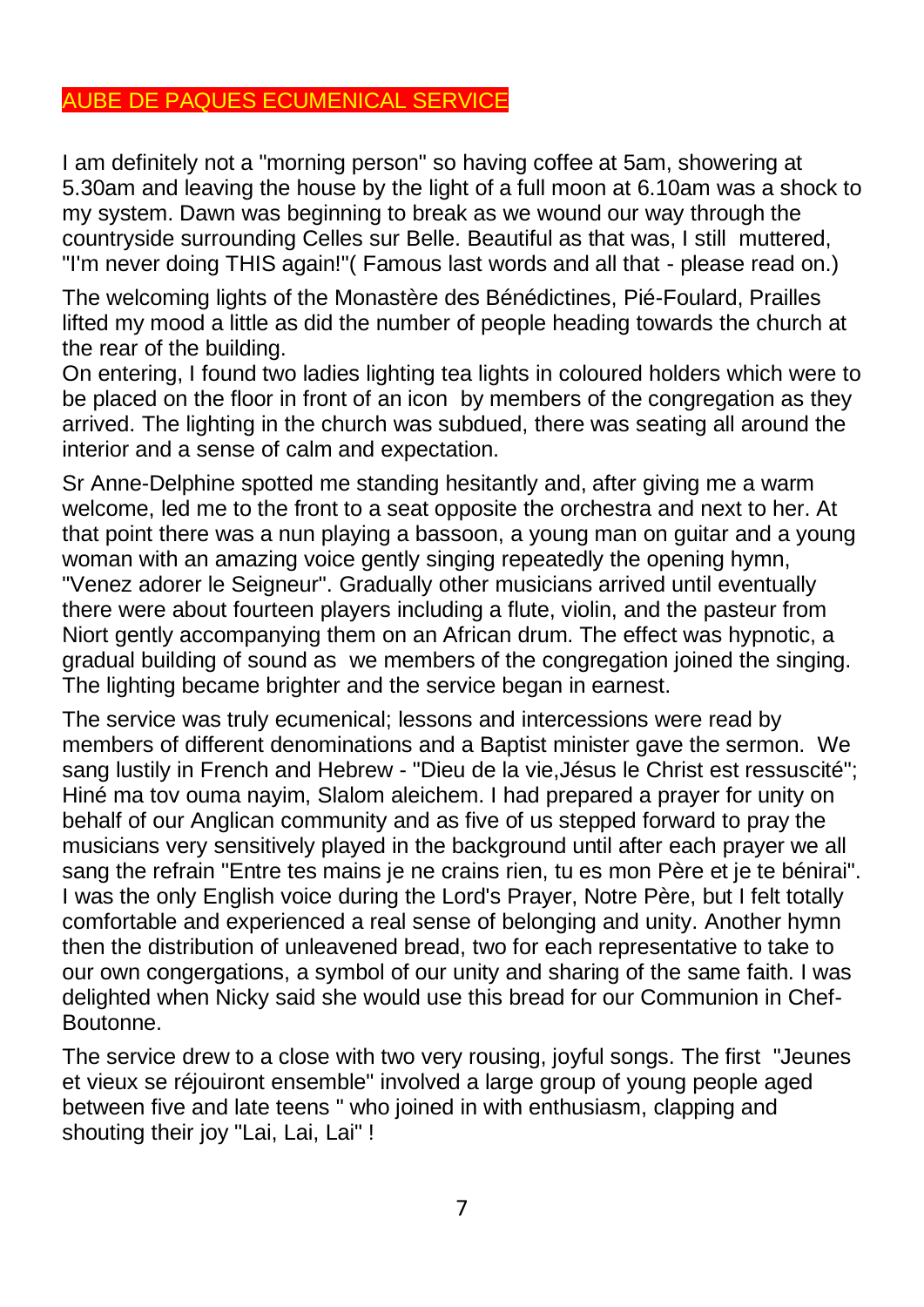#### AUBE DE PAQUES ECUMENICAL SERVICE

I am definitely not a "morning person" so having coffee at 5am, showering at 5.30am and leaving the house by the light of a full moon at 6.10am was a shock to my system. Dawn was beginning to break as we wound our way through the countryside surrounding Celles sur Belle. Beautiful as that was, I still muttered, "I'm never doing THIS again!"( Famous last words and all that - please read on.)

The welcoming lights of the Monastère des Bénédictines, Pié-Foulard, Prailles lifted my mood a little as did the number of people heading towards the church at the rear of the building.

On entering, I found two ladies lighting tea lights in coloured holders which were to be placed on the floor in front of an icon by members of the congregation as they arrived. The lighting in the church was subdued, there was seating all around the interior and a sense of calm and expectation.

Sr Anne-Delphine spotted me standing hesitantly and, after giving me a warm welcome, led me to the front to a seat opposite the orchestra and next to her. At that point there was a nun playing a bassoon, a young man on guitar and a young woman with an amazing voice gently singing repeatedly the opening hymn, "Venez adorer le Seigneur". Gradually other musicians arrived until eventually there were about fourteen players including a flute, violin, and the pasteur from Niort gently accompanying them on an African drum. The effect was hypnotic, a gradual building of sound as we members of the congregation joined the singing. The lighting became brighter and the service began in earnest.

The service was truly ecumenical; lessons and intercessions were read by members of different denominations and a Baptist minister gave the sermon. We sang lustily in French and Hebrew - "Dieu de la vie,Jésus le Christ est ressuscité"; Hiné ma tov ouma nayim, Slalom aleichem. I had prepared a prayer for unity on behalf of our Anglican community and as five of us stepped forward to pray the musicians very sensitively played in the background until after each prayer we all sang the refrain "Entre tes mains je ne crains rien, tu es mon Père et je te bénirai". I was the only English voice during the Lord's Prayer, Notre Père, but I felt totally comfortable and experienced a real sense of belonging and unity. Another hymn then the distribution of unleavened bread, two for each representative to take to our own congergations, a symbol of our unity and sharing of the same faith. I was delighted when Nicky said she would use this bread for our Communion in Chef-Boutonne.

The service drew to a close with two very rousing, joyful songs. The first "Jeunes et vieux se réjouiront ensemble" involved a large group of young people aged between five and late teens " who joined in with enthusiasm, clapping and shouting their joy "Lai, Lai, Lai" !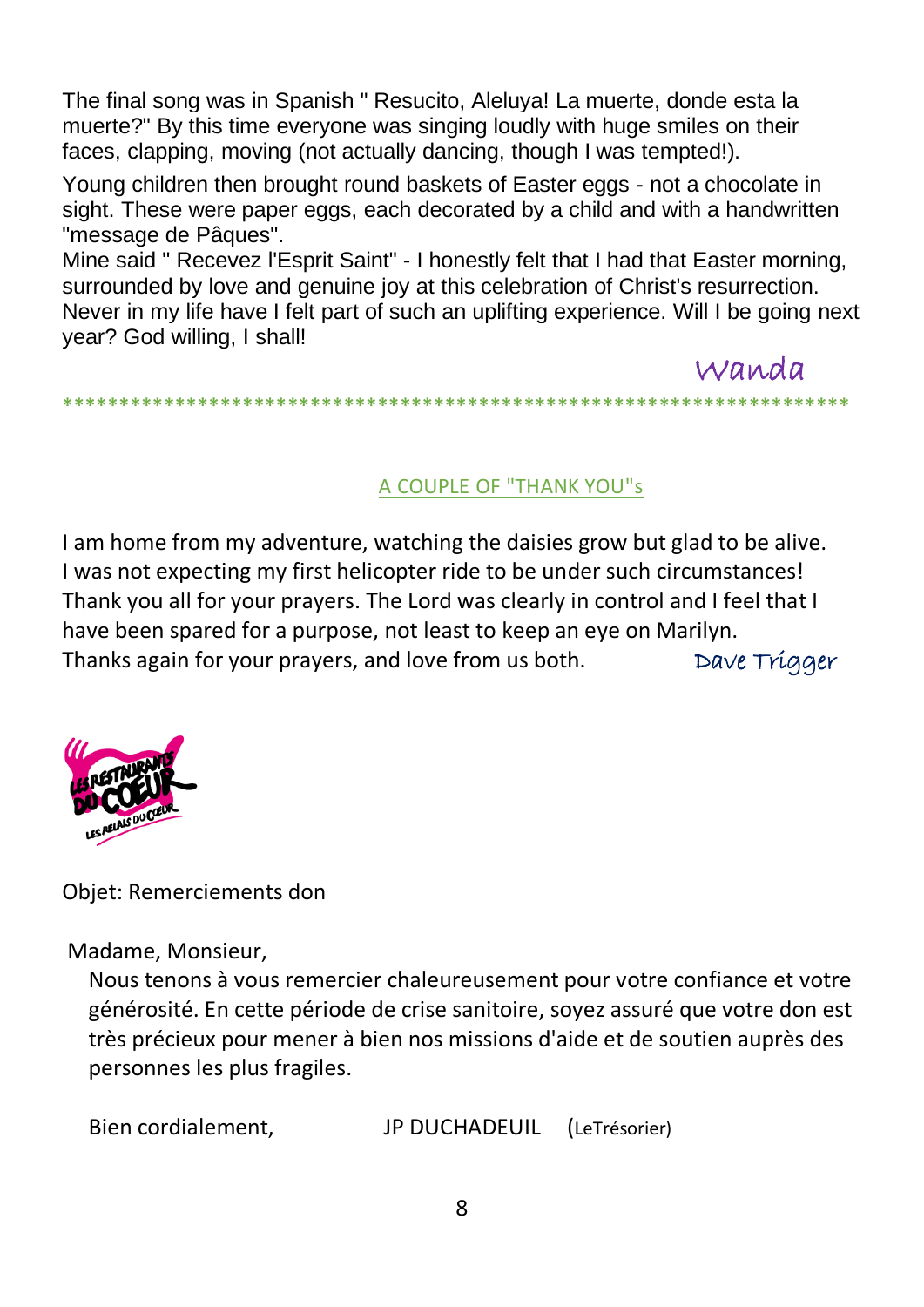The final song was in Spanish " Resucito, Aleluya! La muerte, donde esta la muerte?" By this time everyone was singing loudly with huge smiles on their faces, clapping, moving (not actually dancing, though I was tempted!).

Young children then brought round baskets of Easter eggs - not a chocolate in sight. These were paper eggs, each decorated by a child and with a handwritten "message de Pâques".

Mine said " Recevez l'Esprit Saint" - I honestly felt that I had that Easter morning, surrounded by love and genuine joy at this celebration of Christ's resurrection. Never in my life have I felt part of such an uplifting experience. Will I be going next year? God willing, I shall!

**\*\*\*\*\*\*\*\*\*\*\*\*\*\*\*\*\*\*\*\*\*\*\*\*\*\*\*\*\*\*\*\*\*\*\*\*\*\*\*\*\*\*\*\*\*\*\*\*\*\*\*\*\*\*\*\*\*\*\*\*\*\*\*\*\*\*\*\*\*\***

### A COUPLE OF "THANK YOU"s

Wanda

I am home from my adventure, watching the daisies grow but glad to be alive. I was not expecting my first helicopter ride to be under such circumstances! Thank you all for your prayers. The Lord was clearly in control and I feel that I have been spared for a purpose, not least to keep an eye on Marilyn. Thanks again for your prayers, and love from us both. Dave Trigger



Objet: Remerciements don

Madame, Monsieur,

Nous tenons à vous remercier chaleureusement pour votre confiance et votre générosité. En cette période de crise sanitoire, soyez assuré que votre don est très précieux pour mener à bien nos missions d'aide et de soutien auprès des personnes les plus fragiles.

Bien cordialement, JP DUCHADEUIL (LeTrésorier)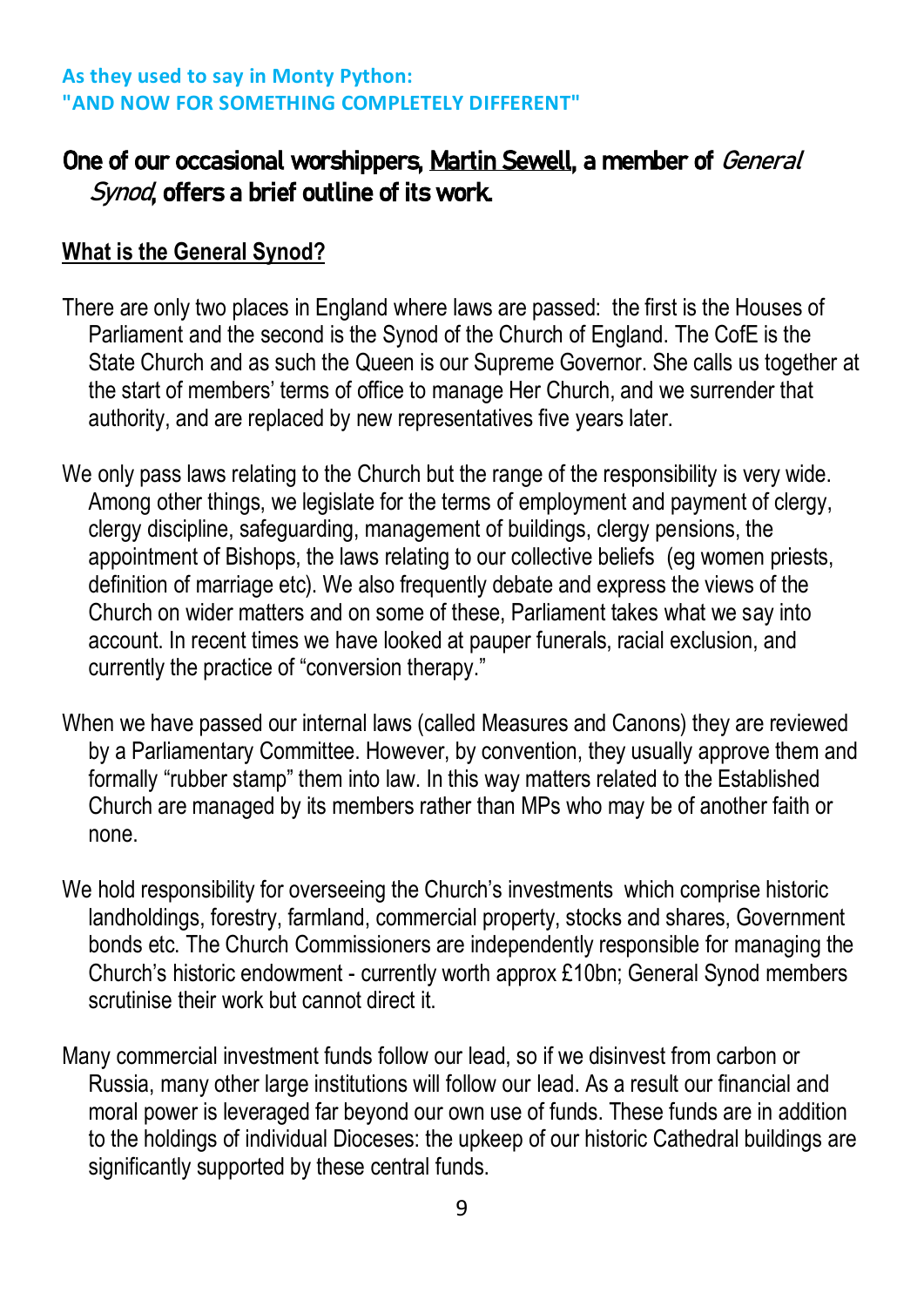#### **As they used to say in Monty Python: "AND NOW FOR SOMETHING COMPLETELY DIFFERENT"**

## One of our occasional worshippers, Martin Sewell, a member of General Synod, offers a brief outline of its work.

## **What is the General Synod?**

- There are only two places in England where laws are passed: the first is the Houses of Parliament and the second is the Synod of the Church of England. The CofE is the State Church and as such the Queen is our Supreme Governor. She calls us together at the start of members' terms of office to manage Her Church, and we surrender that authority, and are replaced by new representatives five years later.
- We only pass laws relating to the Church but the range of the responsibility is very wide. Among other things, we legislate for the terms of employment and payment of clergy, clergy discipline, safeguarding, management of buildings, clergy pensions, the appointment of Bishops, the laws relating to our collective beliefs (eg women priests, definition of marriage etc). We also frequently debate and express the views of the Church on wider matters and on some of these, Parliament takes what we say into account. In recent times we have looked at pauper funerals, racial exclusion, and currently the practice of "conversion therapy."
- When we have passed our internal laws (called Measures and Canons) they are reviewed by a Parliamentary Committee. However, by convention, they usually approve them and formally "rubber stamp" them into law. In this way matters related to the Established Church are managed by its members rather than MPs who may be of another faith or none.
- We hold responsibility for overseeing the Church's investments which comprise historic landholdings, forestry, farmland, commercial property, stocks and shares, Government bonds etc. The Church Commissioners are independently responsible for managing the Church's historic endowment - currently worth approx £10bn; General Synod members scrutinise their work but cannot direct it.
- Many commercial investment funds follow our lead, so if we disinvest from carbon or Russia, many other large institutions will follow our lead. As a result our financial and moral power is leveraged far beyond our own use of funds. These funds are in addition to the holdings of individual Dioceses: the upkeep of our historic Cathedral buildings are significantly supported by these central funds.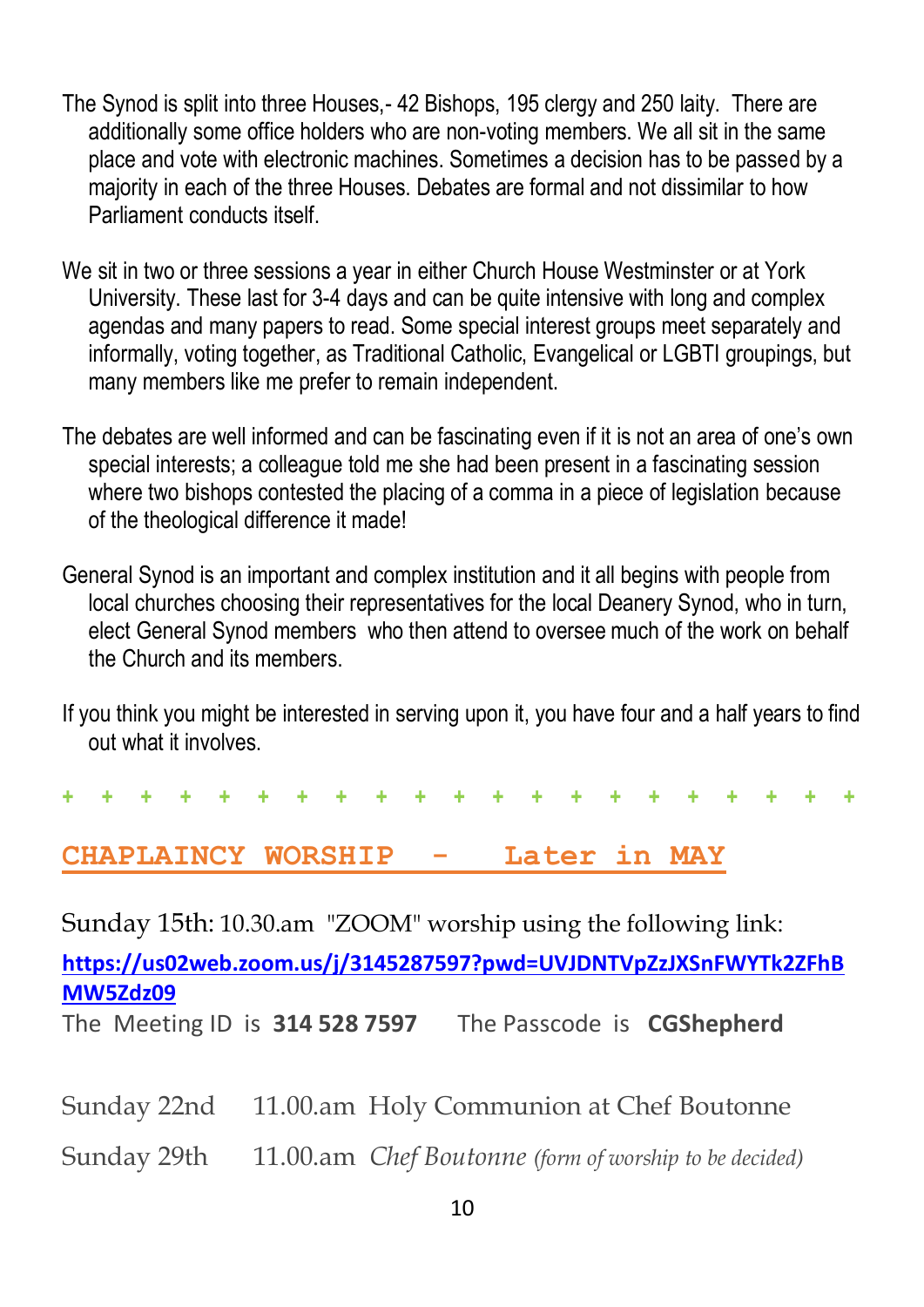- The Synod is split into three Houses,- 42 Bishops, 195 clergy and 250 laity. There are additionally some office holders who are non-voting members. We all sit in the same place and vote with electronic machines. Sometimes a decision has to be passed by a majority in each of the three Houses. Debates are formal and not dissimilar to how Parliament conducts itself.
- We sit in two or three sessions a year in either Church House Westminster or at York University. These last for 3-4 days and can be quite intensive with long and complex agendas and many papers to read. Some special interest groups meet separately and informally, voting together, as Traditional Catholic, Evangelical or LGBTI groupings, but many members like me prefer to remain independent.
- The debates are well informed and can be fascinating even if it is not an area of one's own special interests; a colleague told me she had been present in a fascinating session where two bishops contested the placing of a comma in a piece of legislation because of the theological difference it made!
- General Synod is an important and complex institution and it all begins with people from local churches choosing their representatives for the local Deanery Synod, who in turn, elect General Synod members who then attend to oversee much of the work on behalf the Church and its members.
- If you think you might be interested in serving upon it, you have four and a half years to find out what it involves.

**+ + + + + + + + + + + + + + + + + + + + +**

## **CHAPLAINCY WORSHIP - Later in MAY**

Sunday 15th: 10.30.am "ZOOM" worship using the following link:

**[https://us02web.zoom.us/j/3145287597?pwd=UVJDNTVpZzJXSnFWYTk2ZFhB](https://us02web.zoom.us/j/3145287597?pwd=UVJDNTVpZzJXSnFWYTk2ZFhBMW5Zdz09) [MW5Zdz09](https://us02web.zoom.us/j/3145287597?pwd=UVJDNTVpZzJXSnFWYTk2ZFhBMW5Zdz09)**

The Meeting ID is **314 528 7597** The Passcode is **CGShepherd**

Sunday 22nd 11.00.am Holy Communion at Chef Boutonne

Sunday 29th 11.00.am *Chef Boutonne (form of worship to be decided)*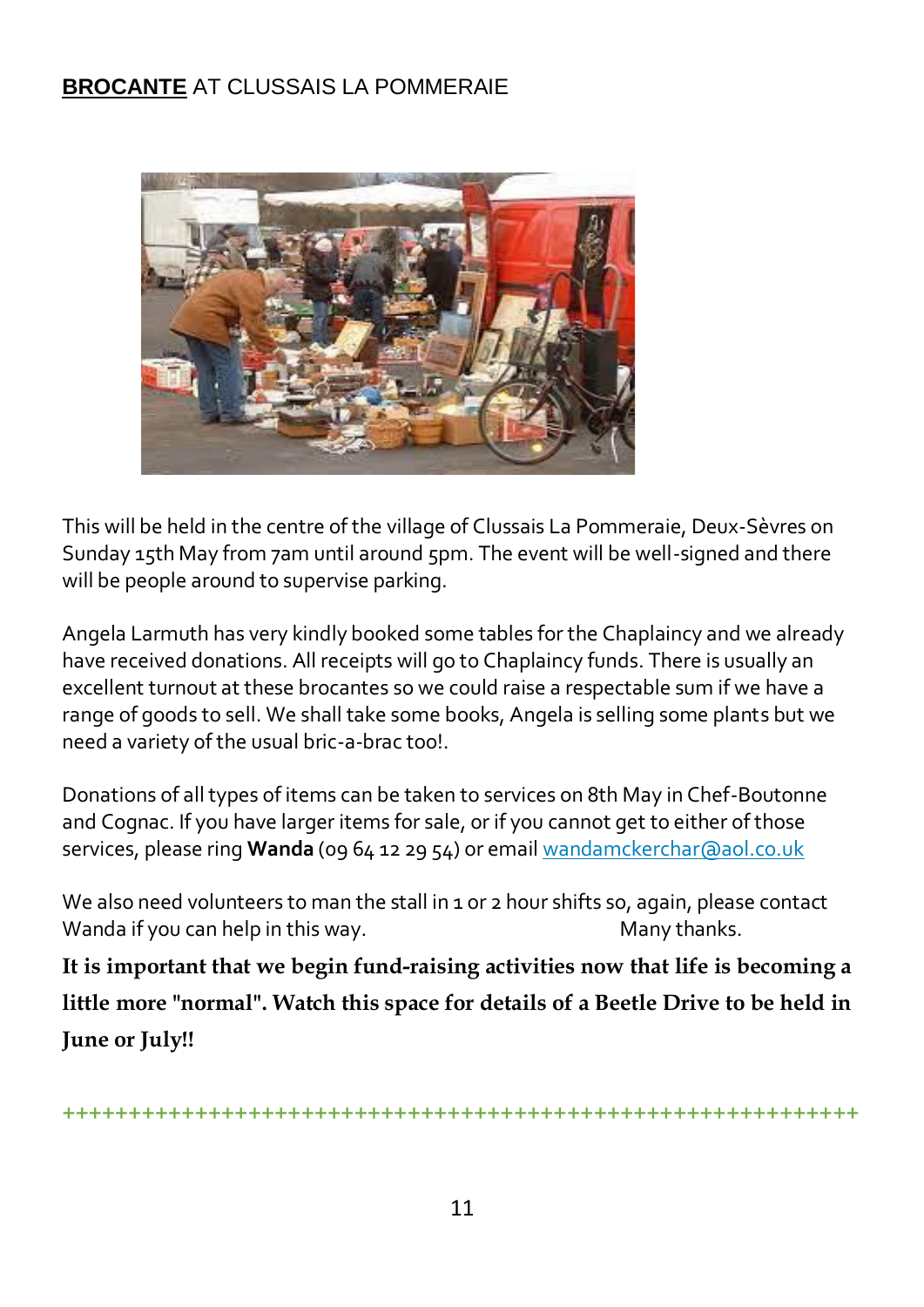## **BROCANTE** AT CLUSSAIS LA POMMERAIE



This will be held in the centre of the village of Clussais La Pommeraie, Deux-Sèvres on Sunday 15th May from 7am until around 5pm. The event will be well-signed and there will be people around to supervise parking.

Angela Larmuth has very kindly booked some tables for the Chaplaincy and we already have received donations. All receipts will go to Chaplaincy funds. There is usually an excellent turnout at these brocantes so we could raise a respectable sum if we have a range of goods to sell. We shall take some books, Angela is selling some plants but we need a variety of the usual bric-a-brac too!.

Donations of all types of items can be taken to services on 8th May in Chef-Boutonne and Cognac. If you have larger items for sale, or if you cannot get to either of those services, please ring **Wanda** (09 64 12 29 54) or email [wandamckerchar@aol.co.uk](mailto:wandamckerchar@aol.co.uk)

We also need volunteers to man the stall in 1 or 2 hour shifts so, again, please contact Wanda if you can help in this way. Many thanks.

**It is important that we begin fund-raising activities now that life is becoming a little more "normal". Watch this space for details of a Beetle Drive to be held in June or July!!**

**++++++++++++++++++++++++++++++++++++++++++++++++++++++++++++**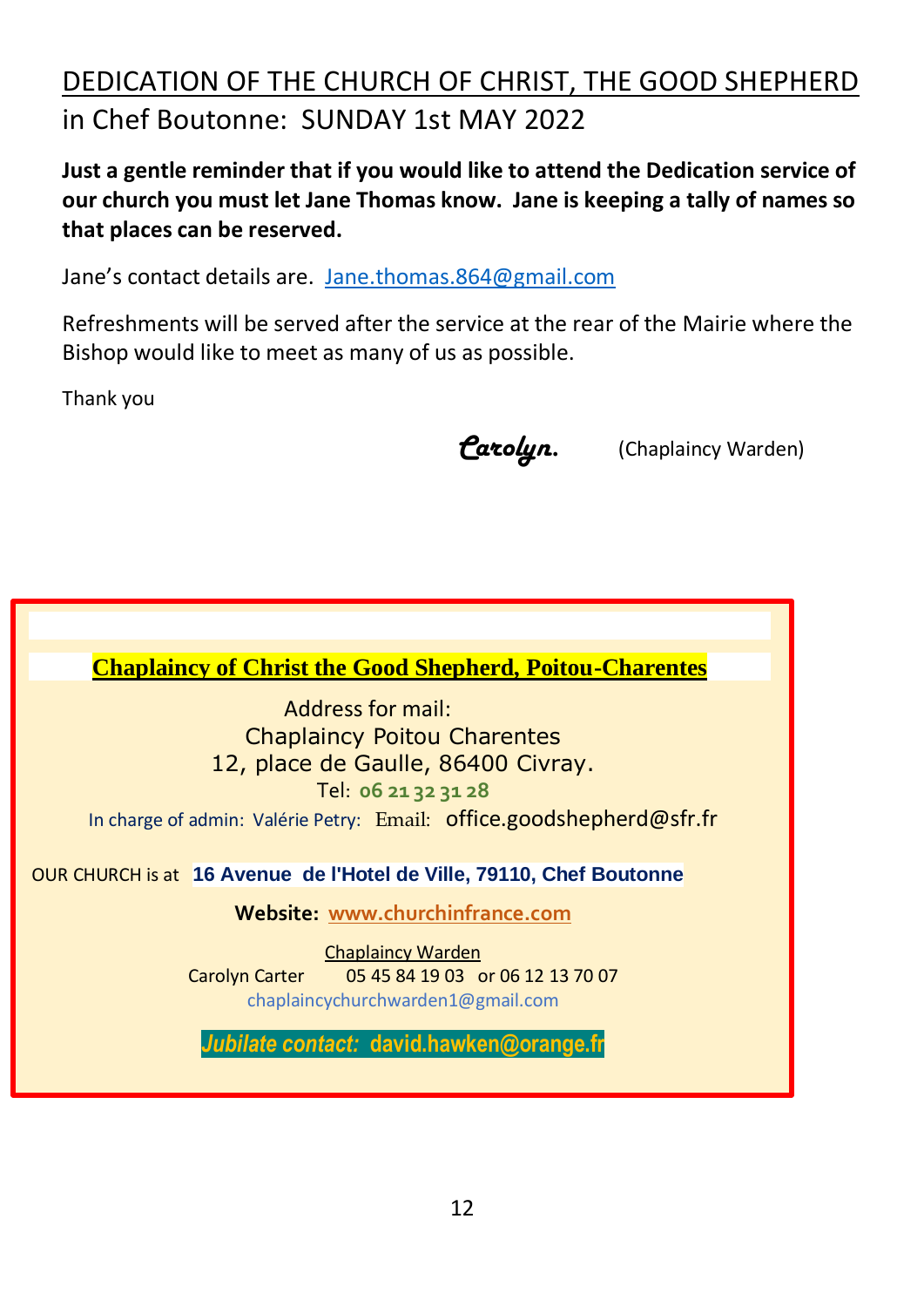# DEDICATION OF THE CHURCH OF CHRIST, THE GOOD SHEPHERD in Chef Boutonne: SUNDAY 1st MAY 2022

**Just a gentle reminder that if you would like to attend the Dedication service of our church you must let Jane Thomas know. Jane is keeping a tally of names so that places can be reserved.**

Jane's contact details are. [Jane.thomas.864@gmail.com](mailto:Jane.thomas.864@gmail.com)

Refreshments will be served after the service at the rear of the Mairie where the Bishop would like to meet as many of us as possible.

Thank you

*Carolyn.* (Chaplaincy Warden)

**Chaplaincy of Christ the Good Shepherd, Poitou-Charentes**

Address for mail: Chaplaincy Poitou Charentes 12, place de Gaulle, 86400 Civray. Tel: **06 21 32 31 28** In charge of admin: Valérie Petry: Email: [office.goodshepherd@sfr.fr](mailto:office.goodshepherd@orange.fr)

OUR CHURCH is at **16 Avenue de l'Hotel de Ville, 79110, Chef Boutonne**

**Website: www.churchinfrance.com**

Chaplaincy Warden Carolyn Carter 05 45 84 19 03 or 06 12 13 70 07 chaplaincychurchwarden1@gmail.com

*Jubilate contact:* **david.hawken@orange.fr**